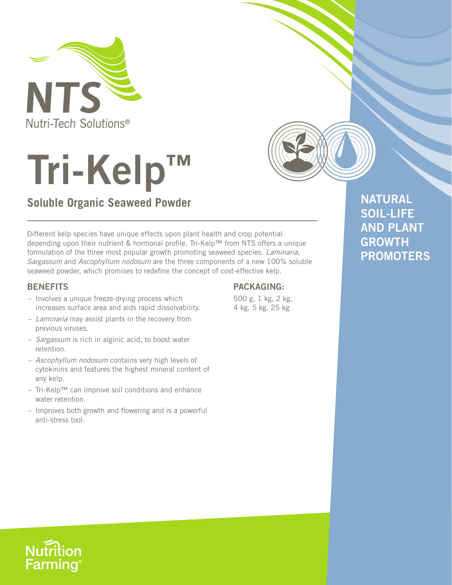



# **Soluble Organic Seaweed Powder**

Different kelp species have unique effects upon plant health and crop potential depending upon their nutrient & hormonal profile. Tri-Kelp™ from NTS offers a unique formulation of the three most popular growth promoting seaweed species. *Laminaria*, *Sargassum* and *Ascophyllum nodosum* are the three components of a new 100% soluble seaweed powder, which promises to redefine the concept of cost-effective kelp.

### **BENEFITS**

- Involves a unique freeze-drying process which increases surface area and aids rapid dissolvability.
- *Laminaria* may assist plants in the recovery from previous viruses.
- *Sargassum* is rich in alginic acid, to boost water retention.
- *Ascophyllum nodosum* contains very high levels of cytokinins and features the highest mineral content of any kelp.
- Tri-Kelp™ can improve soil conditions and enhance water retention.
- Improves both growth and flowering and is a powerful anti-stress tool.

# **PACKAGING:**

500 g, 1 kg, 2 kg, 4 kg, 5 kg, 25 kg

**NATURAL SOIL-LIFE AND PLANT GROWTH PROMOTERS**